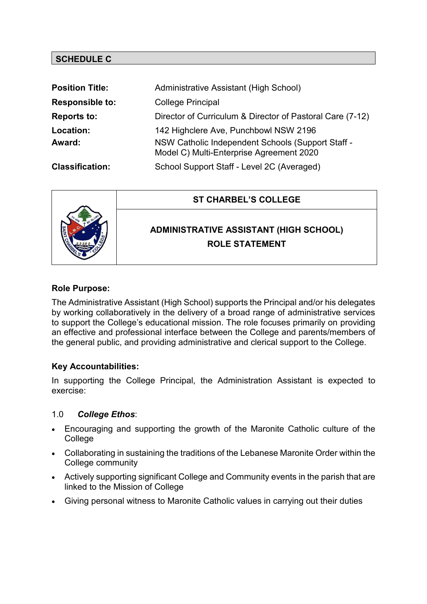# **SCHEDULE C**

| <b>Position Title:</b> | Administrative Assistant (High School)                                                        |
|------------------------|-----------------------------------------------------------------------------------------------|
| <b>Responsible to:</b> | <b>College Principal</b>                                                                      |
| <b>Reports to:</b>     | Director of Curriculum & Director of Pastoral Care (7-12)                                     |
| Location:              | 142 Highclere Ave, Punchbowl NSW 2196                                                         |
| Award:                 | NSW Catholic Independent Schools (Support Staff -<br>Model C) Multi-Enterprise Agreement 2020 |
| <b>Classification:</b> | School Support Staff - Level 2C (Averaged)                                                    |



### **Role Purpose:**

The Administrative Assistant (High School) supports the Principal and/or his delegates by working collaboratively in the delivery of a broad range of administrative services to support the College's educational mission. The role focuses primarily on providing an effective and professional interface between the College and parents/members of the general public, and providing administrative and clerical support to the College.

# **Key Accountabilities:**

In supporting the College Principal, the Administration Assistant is expected to exercise:

#### 1.0 *College Ethos*:

- Encouraging and supporting the growth of the Maronite Catholic culture of the College
- Collaborating in sustaining the traditions of the Lebanese Maronite Order within the College community
- Actively supporting significant College and Community events in the parish that are linked to the Mission of College
- Giving personal witness to Maronite Catholic values in carrying out their duties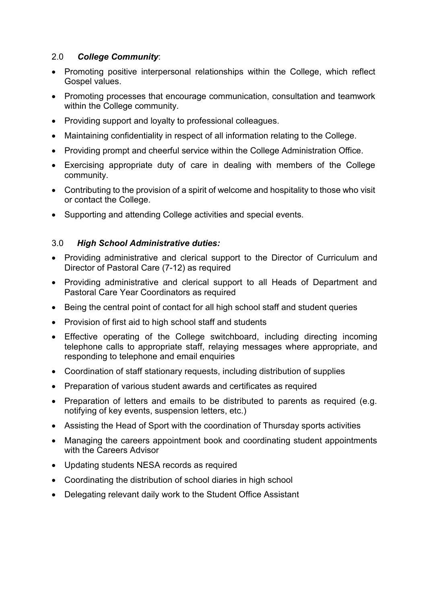## 2.0 *College Community*:

- Promoting positive interpersonal relationships within the College, which reflect Gospel values.
- Promoting processes that encourage communication, consultation and teamwork within the College community.
- Providing support and loyalty to professional colleagues.
- Maintaining confidentiality in respect of all information relating to the College.
- Providing prompt and cheerful service within the College Administration Office.
- Exercising appropriate duty of care in dealing with members of the College community.
- Contributing to the provision of a spirit of welcome and hospitality to those who visit or contact the College.
- Supporting and attending College activities and special events.

### 3.0 *High School Administrative duties:*

- Providing administrative and clerical support to the Director of Curriculum and Director of Pastoral Care (7-12) as required
- Providing administrative and clerical support to all Heads of Department and Pastoral Care Year Coordinators as required
- Being the central point of contact for all high school staff and student queries
- Provision of first aid to high school staff and students
- Effective operating of the College switchboard, including directing incoming telephone calls to appropriate staff, relaying messages where appropriate, and responding to telephone and email enquiries
- Coordination of staff stationary requests, including distribution of supplies
- Preparation of various student awards and certificates as required
- Preparation of letters and emails to be distributed to parents as required (e.g. notifying of key events, suspension letters, etc.)
- Assisting the Head of Sport with the coordination of Thursday sports activities
- Managing the careers appointment book and coordinating student appointments with the Careers Advisor
- Updating students NESA records as required
- Coordinating the distribution of school diaries in high school
- Delegating relevant daily work to the Student Office Assistant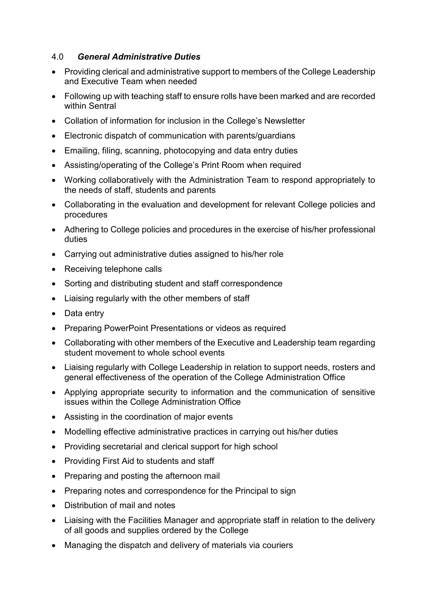## 4.0 *General Administrative Duties*

- Providing clerical and administrative support to members of the College Leadership and Executive Team when needed
- Following up with teaching staff to ensure rolls have been marked and are recorded within Sentral
- Collation of information for inclusion in the College's Newsletter
- Electronic dispatch of communication with parents/guardians
- Emailing, filing, scanning, photocopying and data entry duties
- Assisting/operating of the College's Print Room when required
- Working collaboratively with the Administration Team to respond appropriately to the needs of staff, students and parents
- Collaborating in the evaluation and development for relevant College policies and procedures
- Adhering to College policies and procedures in the exercise of his/her professional duties
- Carrying out administrative duties assigned to his/her role
- Receiving telephone calls
- Sorting and distributing student and staff correspondence
- Liaising regularly with the other members of staff
- Data entry
- Preparing PowerPoint Presentations or videos as required
- Collaborating with other members of the Executive and Leadership team regarding student movement to whole school events
- Liaising regularly with College Leadership in relation to support needs, rosters and general effectiveness of the operation of the College Administration Office
- Applying appropriate security to information and the communication of sensitive issues within the College Administration Office
- Assisting in the coordination of major events
- Modelling effective administrative practices in carrying out his/her duties
- Providing secretarial and clerical support for high school
- Providing First Aid to students and staff
- Preparing and posting the afternoon mail
- Preparing notes and correspondence for the Principal to sign
- Distribution of mail and notes
- Liaising with the Facilities Manager and appropriate staff in relation to the delivery of all goods and supplies ordered by the College
- Managing the dispatch and delivery of materials via couriers